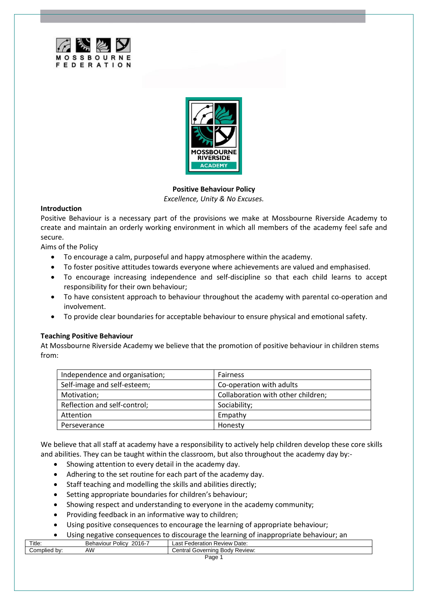



**Positive Behaviour Policy** *Excellence, Unity & No Excuses.*

### **Introduction**

Positive Behaviour is a necessary part of the provisions we make at Mossbourne Riverside Academy to create and maintain an orderly working environment in which all members of the academy feel safe and secure.

Aims of the Policy

- To encourage a calm, purposeful and happy atmosphere within the academy.
- To foster positive attitudes towards everyone where achievements are valued and emphasised.
- To encourage increasing independence and self-discipline so that each child learns to accept responsibility for their own behaviour;
- To have consistent approach to behaviour throughout the academy with parental co-operation and involvement.
- To provide clear boundaries for acceptable behaviour to ensure physical and emotional safety.

# **Teaching Positive Behaviour**

At Mossbourne Riverside Academy we believe that the promotion of positive behaviour in children stems from:

| Independence and organisation; | <b>Fairness</b>                    |
|--------------------------------|------------------------------------|
| Self-image and self-esteem;    | Co-operation with adults           |
| Motivation;                    | Collaboration with other children; |
| Reflection and self-control;   | Sociability;                       |
| Attention                      | Empathy                            |
| Perseverance                   | Honesty                            |

We believe that all staff at academy have a responsibility to actively help children develop these core skills and abilities. They can be taught within the classroom, but also throughout the academy day by:-

- Showing attention to every detail in the academy day.
- Adhering to the set routine for each part of the academy day.
- Staff teaching and modelling the skills and abilities directly;
- Setting appropriate boundaries for children's behaviour;
- Showing respect and understanding to everyone in the academy community;
- Providing feedback in an informative way to children;
- Using positive consequences to encourage the learning of appropriate behaviour;
- Using negative consequences to discourage the learning of inappropriate behaviour; an

| Title:                  | 2016-7<br>.<br>Policy<br>Behaviour | Review Date:<br>-ederation<br>_as†             |
|-------------------------|------------------------------------|------------------------------------------------|
| omplied;<br>. bv:<br>◡◡ | AW                                 | Review:<br><b>Body</b><br>Governing<br>.entral |
| Page                    |                                    |                                                |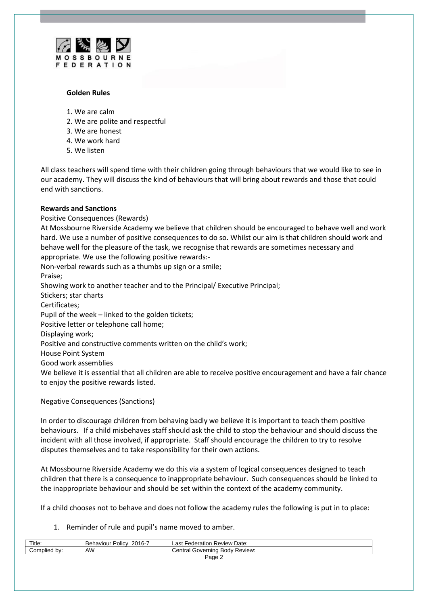

## **Golden Rules**

- 1. We are calm
- 2. We are polite and respectful
- 3. We are honest
- 4. We work hard
- 5. We listen

All class teachers will spend time with their children going through behaviours that we would like to see in our academy. They will discuss the kind of behaviours that will bring about rewards and those that could end with sanctions.

# **Rewards and Sanctions**

Positive Consequences (Rewards) At Mossbourne Riverside Academy we believe that children should be encouraged to behave well and work hard. We use a number of positive consequences to do so. Whilst our aim is that children should work and behave well for the pleasure of the task, we recognise that rewards are sometimes necessary and appropriate. We use the following positive rewards:- Non-verbal rewards such as a thumbs up sign or a smile; Praise; Showing work to another teacher and to the Principal/ Executive Principal; Stickers; star charts Certificates; Pupil of the week – linked to the golden tickets; Positive letter or telephone call home; Displaying work; Positive and constructive comments written on the child's work; House Point System Good work assemblies We believe it is essential that all children are able to receive positive encouragement and have a fair chance to enjoy the positive rewards listed.

# Negative Consequences (Sanctions)

In order to discourage children from behaving badly we believe it is important to teach them positive behaviours. If a child misbehaves staff should ask the child to stop the behaviour and should discuss the incident with all those involved, if appropriate. Staff should encourage the children to try to resolve disputes themselves and to take responsibility for their own actions.

At Mossbourne Riverside Academy we do this via a system of logical consequences designed to teach children that there is a consequence to inappropriate behaviour. Such consequences should be linked to the inappropriate behaviour and should be set within the context of the academy community.

If a child chooses not to behave and does not follow the academy rules the following is put in to place:

1. Reminder of rule and pupil's name moved to amber.

| Title:       | 2016-7<br>Policy<br>Behaviour! | . Review Date:<br>Federation<br>∟ast ˈ |
|--------------|--------------------------------|----------------------------------------|
| Complied by: | AW                             | / Review:<br>Central Governing Body    |
| Page 2       |                                |                                        |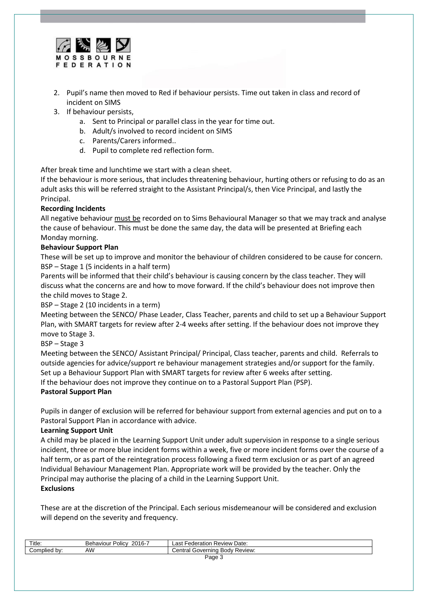

- 2. Pupil's name then moved to Red if behaviour persists. Time out taken in class and record of incident on SIMS
- 3. If behaviour persists,
	- a. Sent to Principal or parallel class in the year for time out.
	- b. Adult/s involved to record incident on SIMS
	- c. Parents/Carers informed..
	- d. Pupil to complete red reflection form.

After break time and lunchtime we start with a clean sheet.

If the behaviour is more serious, that includes threatening behaviour, hurting others or refusing to do as an adult asks this will be referred straight to the Assistant Principal/s, then Vice Principal, and lastly the Principal.

# **Recording Incidents**

All negative behaviour must be recorded on to Sims Behavioural Manager so that we may track and analyse the cause of behaviour. This must be done the same day, the data will be presented at Briefing each Monday morning.

# **Behaviour Support Plan**

These will be set up to improve and monitor the behaviour of children considered to be cause for concern. BSP – Stage 1 (5 incidents in a half term)

Parents will be informed that their child's behaviour is causing concern by the class teacher. They will discuss what the concerns are and how to move forward. If the child's behaviour does not improve then the child moves to Stage 2.

BSP – Stage 2 (10 incidents in a term)

Meeting between the SENCO/ Phase Leader, Class Teacher, parents and child to set up a Behaviour Support Plan, with SMART targets for review after 2-4 weeks after setting. If the behaviour does not improve they move to Stage 3.

BSP – Stage 3

Meeting between the SENCO/ Assistant Principal/ Principal, Class teacher, parents and child. Referrals to outside agencies for advice/support re behaviour management strategies and/or support for the family. Set up a Behaviour Support Plan with SMART targets for review after 6 weeks after setting. If the behaviour does not improve they continue on to a Pastoral Support Plan (PSP).

# **Pastoral Support Plan**

Pupils in danger of exclusion will be referred for behaviour support from external agencies and put on to a Pastoral Support Plan in accordance with advice.

# **Learning Support Unit**

A child may be placed in the Learning Support Unit under adult supervision in response to a single serious incident, three or more blue incident forms within a week, five or more incident forms over the course of a half term, or as part of the reintegration process following a fixed term exclusion or as part of an agreed Individual Behaviour Management Plan. Appropriate work will be provided by the teacher. Only the Principal may authorise the placing of a child in the Learning Support Unit. **Exclusions**

These are at the discretion of the Principal. Each serious misdemeanour will be considered and exclusion will depend on the severity and frequency.

| Title:             | 2016-7<br>Policy<br>Behaviour | Review Date:<br>Federation<br>_ast     |
|--------------------|-------------------------------|----------------------------------------|
| Complied<br>bv:    | AW                            | tral Governing Body Review:<br>∶entral |
| <sup>O</sup> age ఎ |                               |                                        |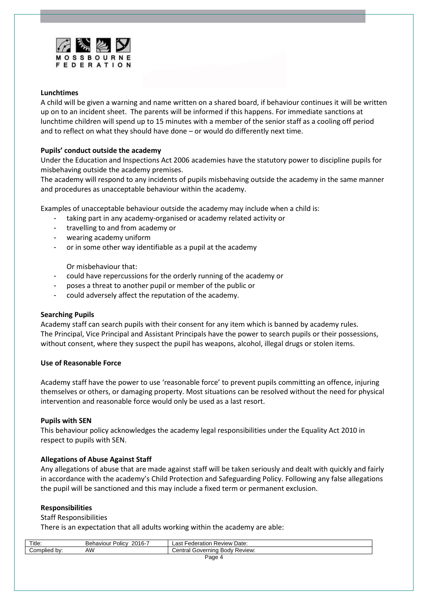

## **Lunchtimes**

A child will be given a warning and name written on a shared board, if behaviour continues it will be written up on to an incident sheet. The parents will be informed if this happens. For immediate sanctions at lunchtime children will spend up to 15 minutes with a member of the senior staff as a cooling off period and to reflect on what they should have done – or would do differently next time.

# **Pupils' conduct outside the academy**

Under the Education and Inspections Act 2006 academies have the statutory power to discipline pupils for misbehaving outside the academy premises.

The academy will respond to any incidents of pupils misbehaving outside the academy in the same manner and procedures as unacceptable behaviour within the academy.

Examples of unacceptable behaviour outside the academy may include when a child is:

- taking part in any academy-organised or academy related activity or
- travelling to and from academy or
- wearing academy uniform
- or in some other way identifiable as a pupil at the academy

Or misbehaviour that:

- could have repercussions for the orderly running of the academy or
- poses a threat to another pupil or member of the public or
- could adversely affect the reputation of the academy.

### **Searching Pupils**

Academy staff can search pupils with their consent for any item which is banned by academy rules. The Principal, Vice Principal and Assistant Principals have the power to search pupils or their possessions, without consent, where they suspect the pupil has weapons, alcohol, illegal drugs or stolen items.

### **Use of Reasonable Force**

Academy staff have the power to use 'reasonable force' to prevent pupils committing an offence, injuring themselves or others, or damaging property. Most situations can be resolved without the need for physical intervention and reasonable force would only be used as a last resort.

### **Pupils with SEN**

This behaviour policy acknowledges the academy legal responsibilities under the Equality Act 2010 in respect to pupils with SEN.

# **Allegations of Abuse Against Staff**

Any allegations of abuse that are made against staff will be taken seriously and dealt with quickly and fairly in accordance with the academy's Child Protection and Safeguarding Policy. Following any false allegations the pupil will be sanctioned and this may include a fixed term or permanent exclusion.

### **Responsibilities**

# Staff Responsibilities

There is an expectation that all adults working within the academy are able:

| Title:          | 2016-7<br>$\cdots$<br>Polic <sup>1</sup><br>Behaviour | Date:<br>⊢ederation<br>∟ast<br>⊦ Review       |
|-----------------|-------------------------------------------------------|-----------------------------------------------|
| Complied<br>bv: | AW                                                    | Central Governing<br><b>Body</b><br>' Review: |
| □age            |                                                       |                                               |